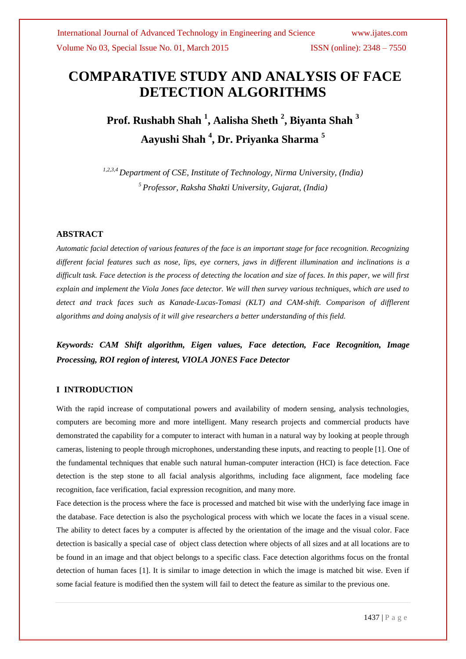# **COMPARATIVE STUDY AND ANALYSIS OF FACE DETECTION ALGORITHMS**

**Prof. Rushabh Shah <sup>1</sup> , Aalisha Sheth <sup>2</sup> , Biyanta Shah <sup>3</sup> Aayushi Shah <sup>4</sup> , Dr. Priyanka Sharma <sup>5</sup>**

*1,2,3,4 Department of CSE, Institute of Technology, Nirma University, (India) <sup>5</sup>Professor, Raksha Shakti University, Gujarat, (India)*

#### **ABSTRACT**

*Automatic facial detection of various features of the face is an important stage for face recognition. Recognizing different facial features such as nose, lips, eye corners, jaws in different illumination and inclinations is a difficult task. Face detection is the process of detecting the location and size of faces. In this paper, we will first explain and implement the Viola Jones face detector. We will then survey various techniques, which are used to detect and track faces such as Kanade-Lucas-Tomasi (KLT) and CAM-shift. Comparison of difflerent algorithms and doing analysis of it will give researchers a better understanding of this field.*

*Keywords: CAM Shift algorithm, Eigen values, Face detection, Face Recognition, Image Processing, ROI region of interest, VIOLA JONES Face Detector*

## **I INTRODUCTION**

With the rapid increase of computational powers and availability of modern sensing, analysis technologies, computers are becoming more and more intelligent. Many research projects and commercial products have demonstrated the capability for a computer to interact with human in a natural way by looking at people through cameras, listening to people through microphones, understanding these inputs, and reacting to people [1]. One of the fundamental techniques that enable such natural human-computer interaction (HCI) is face detection. Face detection is the step stone to all facial analysis algorithms, including face alignment, face modeling face recognition, face verification, facial expression recognition, and many more.

Face detection is the process where the face is processed and matched bit wise with the underlying face image in the database. Face detection is also the psychological process with which we locate the faces in a visual scene. The ability to detect faces by a computer is affected by the orientation of the image and the visual color. Face detection is basically a special case of object class detection where objects of all sizes and at all locations are to be found in an image and that object belongs to a specific class. Face detection algorithms focus on the frontal detection of human faces [1]. It is similar to image detection in which the image is matched bit wise. Even if some facial feature is modified then the system will fail to detect the feature as similar to the previous one.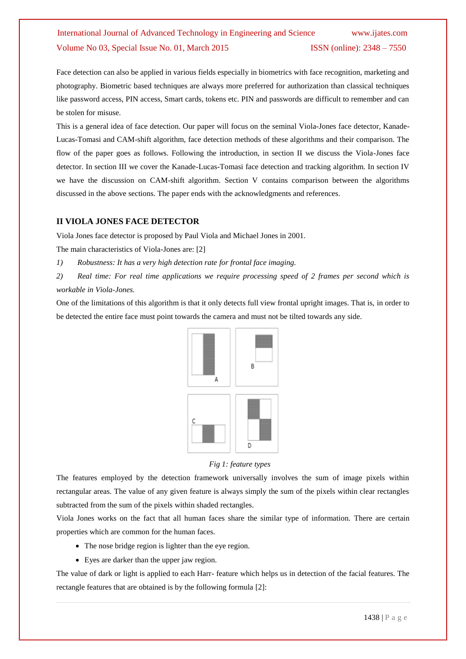Face detection can also be applied in various fields especially in biometrics with face recognition, marketing and photography. Biometric based techniques are always more preferred for authorization than classical techniques like password access, PIN access, Smart cards, tokens etc. PIN and passwords are difficult to remember and can be stolen for misuse.

This is a general idea of face detection. Our paper will focus on the seminal Viola-Jones face detector, Kanade-Lucas-Tomasi and CAM-shift algorithm, face detection methods of these algorithms and their comparison. The flow of the paper goes as follows. Following the introduction, in section II we discuss the Viola-Jones face detector. In section III we cover the Kanade-Lucas-Tomasi face detection and tracking algorithm. In section IV we have the discussion on CAM-shift algorithm. Section V contains comparison between the algorithms discussed in the above sections. The paper ends with the acknowledgments and references.

### **II VIOLA JONES FACE DETECTOR**

Viola Jones face detector is proposed by Paul Viola and Michael Jones in 2001.

The main characteristics of Viola-Jones are: [2]

- *1) Robustness: It has a very high detection rate for frontal face imaging.*
- *2) Real time: For real time applications we require processing speed of 2 frames per second which is workable in Viola-Jones.*

One of the limitations of this algorithm is that it only detects full view frontal upright images. That is, in order to be detected the entire face must point towards the camera and must not be tilted towards any side.



#### *Fig 1: feature types*

The features employed by the detection framework universally involves the sum of image pixels within rectangular areas. The value of any given feature is always simply the sum of the pixels within clear rectangles subtracted from the sum of the pixels within shaded rectangles.

Viola Jones works on the fact that all human faces share the similar type of information. There are certain properties which are common for the human faces.

- The nose bridge region is lighter than the eye region.
- Eyes are darker than the upper jaw region.

The value of dark or light is applied to each Harr- feature which helps us in detection of the facial features. The rectangle features that are obtained is by the following formula [2]: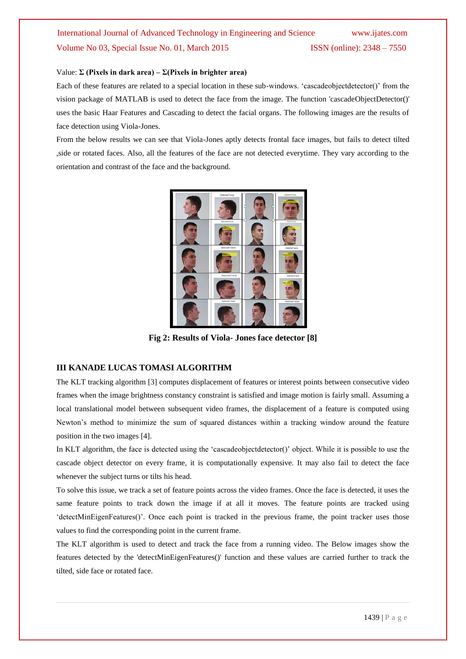### Value: **Σ (Pixels in dark area) – Σ(Pixels in brighter area)**

Each of these features are related to a special location in these sub-windows. "cascadeobjectdetector()" from the vision package of MATLAB is used to detect the face from the image. The function 'cascadeObjectDetector()' uses the basic Haar Features and Cascading to detect the facial organs. The following images are the results of face detection using Viola-Jones.

From the below results we can see that Viola-Jones aptly detects frontal face images, but fails to detect tilted ,side or rotated faces. Also, all the features of the face are not detected everytime. They vary according to the orientation and contrast of the face and the background.



**Fig 2: Results of Viola- Jones face detector [8]**

### **III KANADE LUCAS TOMASI ALGORITHM**

The KLT tracking algorithm [3] computes displacement of features or interest points between consecutive video frames when the image brightness constancy constraint is satisfied and image motion is fairly small. Assuming a local translational model between subsequent video frames, the displacement of a feature is computed using Newton"s method to minimize the sum of squared distances within a tracking window around the feature position in the two images [4].

In KLT algorithm, the face is detected using the 'cascadeobjectdetector()' object. While it is possible to use the cascade object detector on every frame, it is computationally expensive. It may also fail to detect the face whenever the subject turns or tilts his head.

To solve this issue, we track a set of feature points across the video frames. Once the face is detected, it uses the same feature points to track down the image if at all it moves. The feature points are tracked using 'detectMinEigenFeatures()'. Once each point is tracked in the previous frame, the point tracker uses those values to find the corresponding point in the current frame.

The KLT algorithm is used to detect and track the face from a running video. The Below images show the features detected by the 'detectMinEigenFeatures()' function and these values are carried further to track the tilted, side face or rotated face.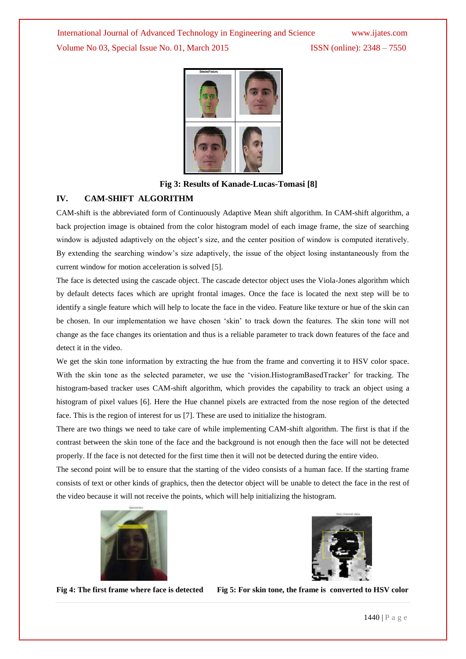



**Fig 3: Results of Kanade-Lucas-Tomasi [8]**

### **IV. CAM-SHIFT ALGORITHM**

CAM-shift is the abbreviated form of Continuously Adaptive Mean shift algorithm. In CAM-shift algorithm, a back projection image is obtained from the color histogram model of each image frame, the size of searching window is adjusted adaptively on the object's size, and the center position of window is computed iteratively. By extending the searching window"s size adaptively, the issue of the object losing instantaneously from the current window for motion acceleration is solved [5].

The face is detected using the cascade object. The cascade detector object uses the Viola-Jones algorithm which by default detects faces which are upright frontal images. Once the face is located the next step will be to identify a single feature which will help to locate the face in the video. Feature like texture or hue of the skin can be chosen. In our implementation we have chosen "skin" to track down the features. The skin tone will not change as the face changes its orientation and thus is a reliable parameter to track down features of the face and detect it in the video.

We get the skin tone information by extracting the hue from the frame and converting it to HSV color space. With the skin tone as the selected parameter, we use the 'vision.HistogramBasedTracker' for tracking. The histogram-based tracker uses CAM-shift algorithm, which provides the capability to track an object using a histogram of pixel values [6]. Here the Hue channel pixels are extracted from the nose region of the detected face. This is the region of interest for us [7]. These are used to initialize the histogram.

There are two things we need to take care of while implementing CAM-shift algorithm. The first is that if the contrast between the skin tone of the face and the background is not enough then the face will not be detected properly. If the face is not detected for the first time then it will not be detected during the entire video.

The second point will be to ensure that the starting of the video consists of a human face. If the starting frame consists of text or other kinds of graphics, then the detector object will be unable to detect the face in the rest of the video because it will not receive the points, which will help initializing the histogram.





**Fig 4: The first frame where face is detected Fig 5: For skin tone, the frame is converted to HSV color**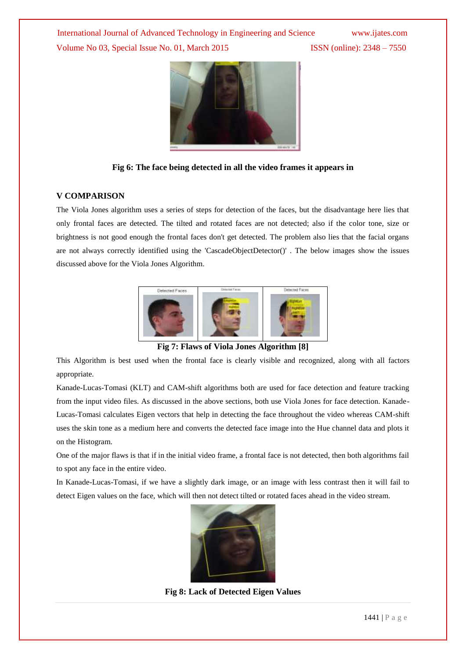

**Fig 6: The face being detected in all the video frames it appears in**

## **V COMPARISON**

The Viola Jones algorithm uses a series of steps for detection of the faces, but the disadvantage here lies that only frontal faces are detected. The tilted and rotated faces are not detected; also if the color tone, size or brightness is not good enough the frontal faces don't get detected. The problem also lies that the facial organs are not always correctly identified using the 'CascadeObjectDetector()' . The below images show the issues discussed above for the Viola Jones Algorithm.



**Fig 7: Flaws of Viola Jones Algorithm [8]**

This Algorithm is best used when the frontal face is clearly visible and recognized, along with all factors appropriate.

Kanade-Lucas-Tomasi (KLT) and CAM-shift algorithms both are used for face detection and feature tracking from the input video files. As discussed in the above sections, both use Viola Jones for face detection. Kanade-Lucas-Tomasi calculates Eigen vectors that help in detecting the face throughout the video whereas CAM-shift uses the skin tone as a medium here and converts the detected face image into the Hue channel data and plots it on the Histogram.

One of the major flaws is that if in the initial video frame, a frontal face is not detected, then both algorithms fail to spot any face in the entire video.

In Kanade-Lucas-Tomasi, if we have a slightly dark image, or an image with less contrast then it will fail to detect Eigen values on the face, which will then not detect tilted or rotated faces ahead in the video stream.



**Fig 8: Lack of Detected Eigen Values**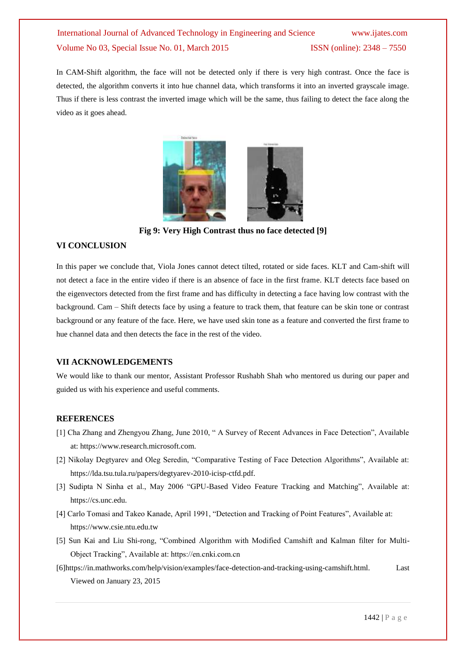In CAM-Shift algorithm, the face will not be detected only if there is very high contrast. Once the face is detected, the algorithm converts it into hue channel data, which transforms it into an inverted grayscale image. Thus if there is less contrast the inverted image which will be the same, thus failing to detect the face along the video as it goes ahead.



**Fig 9: Very High Contrast thus no face detected [9]**

#### **VI CONCLUSION**

In this paper we conclude that, Viola Jones cannot detect tilted, rotated or side faces. KLT and Cam-shift will not detect a face in the entire video if there is an absence of face in the first frame. KLT detects face based on the eigenvectors detected from the first frame and has difficulty in detecting a face having low contrast with the background. Cam – Shift detects face by using a feature to track them, that feature can be skin tone or contrast background or any feature of the face. Here, we have used skin tone as a feature and converted the first frame to hue channel data and then detects the face in the rest of the video.

#### **VII ACKNOWLEDGEMENTS**

We would like to thank our mentor, Assistant Professor Rushabh Shah who mentored us during our paper and guided us with his experience and useful comments.

### **REFERENCES**

- [1] Cha Zhang and Zhengyou Zhang, June 2010, " A Survey of Recent Advances in Face Detection", Available at: https://www.research.microsoft.com.
- [2] Nikolay Degtyarev and Oleg Seredin, "Comparative Testing of Face Detection Algorithms", Available at: https://lda.tsu.tula.ru/papers/degtyarev-2010-icisp-ctfd.pdf.
- [3] Sudipta N Sinha et al., May 2006 "GPU-Based Video Feature Tracking and Matching", Available at: https://cs.unc.edu.
- [4] Carlo Tomasi and Takeo Kanade, April 1991, "Detection and Tracking of Point Features", Available at: https://www.csie.ntu.edu.tw
- [5] Sun Kai and Liu Shi-rong, "Combined Algorithm with Modified Camshift and Kalman filter for Multi-Object Tracking", Available at: https://en.cnki.com.cn
- [6]https://in.mathworks.com/help/vision/examples/face-detection-and-tracking-using-camshift.html. Last Viewed on January 23, 2015